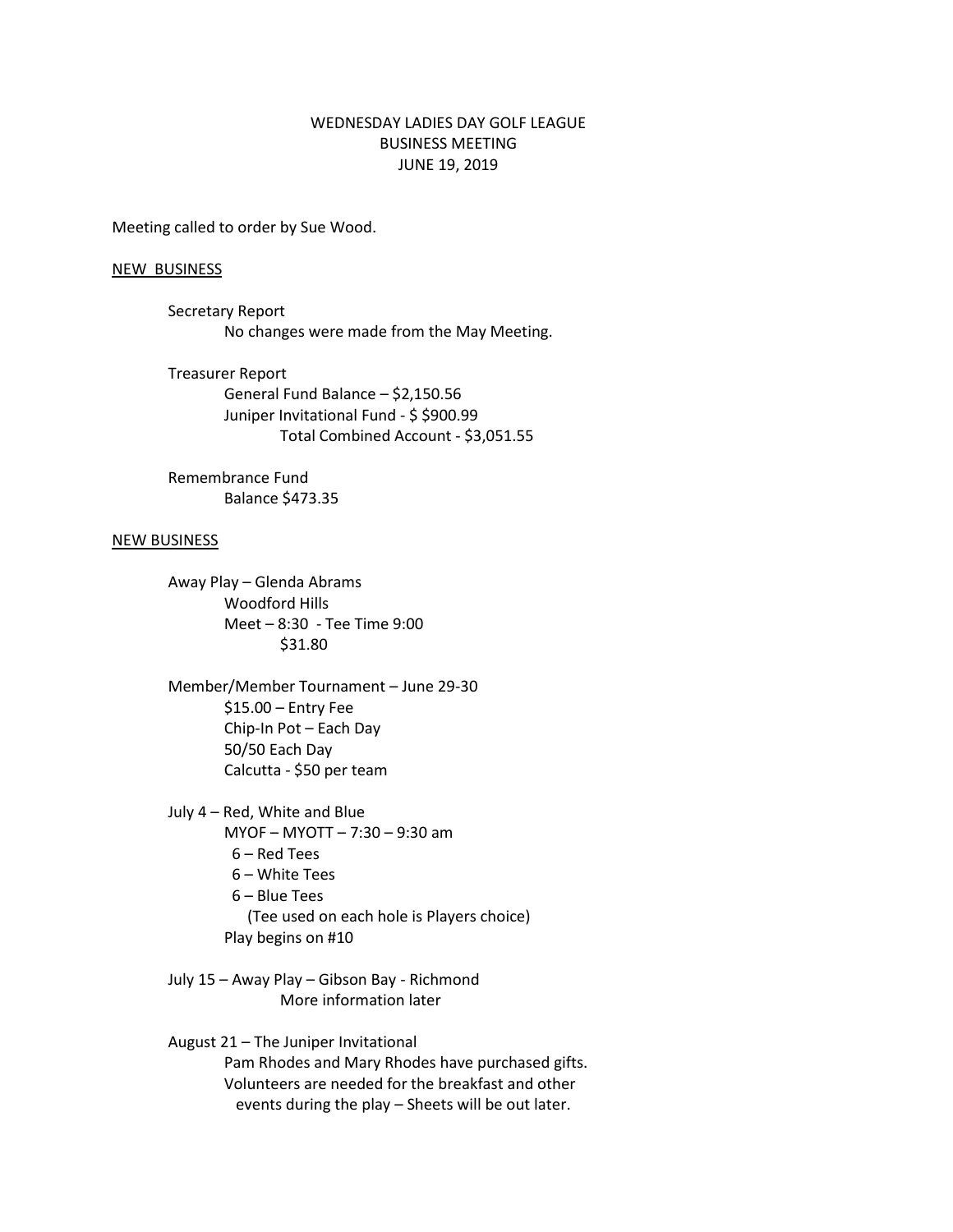## WEDNESDAY LADIES DAY GOLF LEAGUE BUSINESS MEETING JUNE 19, 2019

Meeting called to order by Sue Wood.

## NEW BUSINESS

- Secretary Report No changes were made from the May Meeting.
- Treasurer Report General Fund Balance – \$2,150.56 Juniper Invitational Fund - \$ \$900.99 Total Combined Account - \$3,051.55

Remembrance Fund Balance \$473.35

## NEW BUSINESS

Away Play – Glenda Abrams Woodford Hills Meet – 8:30 - Tee Time 9:00 \$31.80

Member/Member Tournament – June 29-30 \$15.00 – Entry Fee Chip-In Pot – Each Day 50/50 Each Day Calcutta - \$50 per team

July 4 – Red, White and Blue MYOF – MYOTT – 7:30 – 9:30 am 6 – Red Tees 6 – White Tees 6 – Blue Tees (Tee used on each hole is Players choice) Play begins on #10

July 15 – Away Play – Gibson Bay - Richmond More information later

August 21 – The Juniper Invitational Pam Rhodes and Mary Rhodes have purchased gifts. Volunteers are needed for the breakfast and other events during the play – Sheets will be out later.